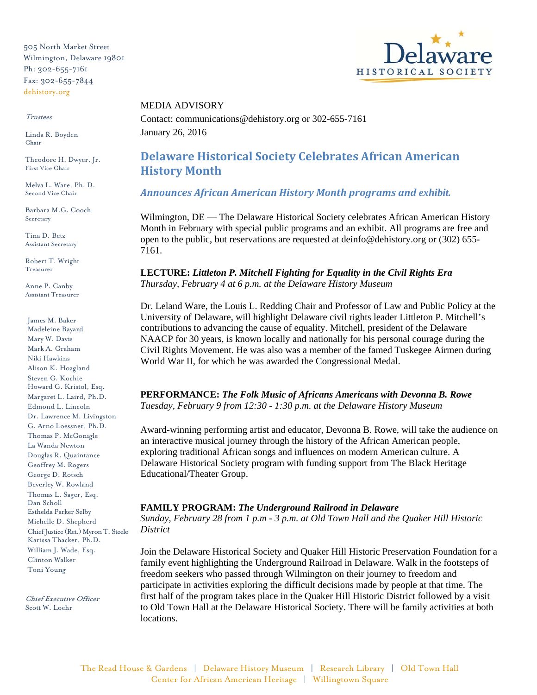505 North Market Street Wilmington, Delaware 19801 Ph: 302-655-7161 Fax: 302-655-7844 dehistory.org

#### Trustees

Linda R. Boyden Chair

Theodore H. Dwyer, Jr. First Vice Chair

Melva L. Ware, Ph. D. Second Vice Chair

Barbara M.G. Cooch Secretary

Tina D. Betz Assistant Secretary

Robert T. Wright Treasurer

Anne P. Canby Assistant Treasurer

James M. Baker Madeleine Bayard Mary W. Davis Mark A. Graham Niki Hawkins Alison K. Hoagland Steven G. Kochie Howard G. Kristol, Esq. Margaret L. Laird, Ph.D. Edmond L. Lincoln Dr. Lawrence M. Livingston G. Arno Loessner, Ph.D. Thomas P. McGonigle La Wanda Newton Douglas R. Quaintance Geoffrey M. Rogers George D. Rotsch Beverley W. Rowland Thomas L. Sager, Esq. Dan Scholl Esthelda Parker Selby Michelle D. Shepherd Chief Justice (Ret.) Myron T. Steele Karissa Thacker, Ph.D. William J. Wade, Esq. Clinton Walker Toni Young

Chief Executive Officer Scott W. Loehr



## MEDIA ADVISORY

Contact: communications@dehistory.org or 302-655-7161 January 26, 2016

# **Delaware Historical Society Celebrates African American History Month**

*Announces African American History Month programs and exhibit.* 

Wilmington, DE — The Delaware Historical Society celebrates African American History Month in February with special public programs and an exhibit. All programs are free and open to the public, but reservations are requested at deinfo@dehistory.org or (302) 655- 7161.

**LECTURE:** *Littleton P. Mitchell Fighting for Equality in the Civil Rights Era Thursday, February 4 at 6 p.m. at the Delaware History Museum*

Dr. Leland Ware, the Louis L. Redding Chair and Professor of Law and Public Policy at the University of Delaware, will highlight Delaware civil rights leader Littleton P. Mitchell's contributions to advancing the cause of equality. Mitchell, president of the Delaware NAACP for 30 years, is known locally and nationally for his personal courage during the Civil Rights Movement. He was also was a member of the famed Tuskegee Airmen during World War II, for which he was awarded the Congressional Medal.

**PERFORMANCE:** *The Folk Music of Africans Americans with Devonna B. Rowe Tuesday, February 9 from 12:30 - 1:30 p.m. at the Delaware History Museum*

Award-winning performing artist and educator, Devonna B. Rowe, will take the audience on an interactive musical journey through the history of the African American people, exploring traditional African songs and influences on modern American culture. A Delaware Historical Society program with funding support from The Black Heritage Educational/Theater Group.

# **FAMILY PROGRAM:** *The Underground Railroad in Delaware*

*Sunday, February 28 from 1 p.m - 3 p.m. at Old Town Hall and the Quaker Hill Historic District*

Join the Delaware Historical Society and Quaker Hill Historic Preservation Foundation for a family event highlighting the Underground Railroad in Delaware. Walk in the footsteps of freedom seekers who passed through Wilmington on their journey to freedom and participate in activities exploring the difficult decisions made by people at that time. The first half of the program takes place in the Quaker Hill Historic District followed by a visit to Old Town Hall at the Delaware Historical Society. There will be family activities at both locations.